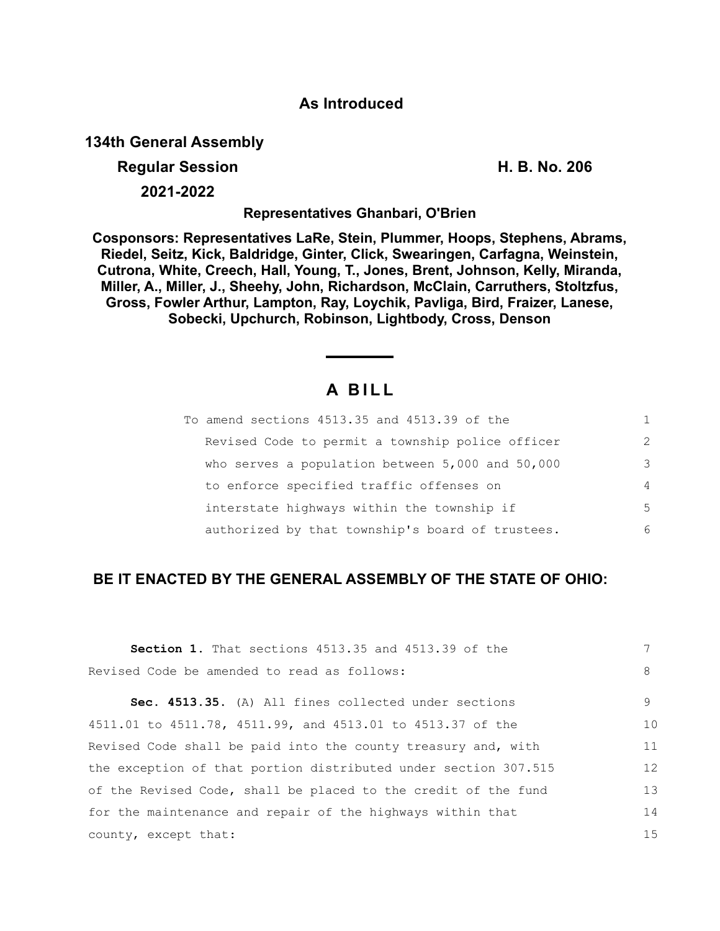## **As Introduced**

**134th General Assembly**

### **Regular Session H. B. No. 206**

**2021-2022**

**Representatives Ghanbari, O'Brien**

**Cosponsors: Representatives LaRe, Stein, Plummer, Hoops, Stephens, Abrams, Riedel, Seitz, Kick, Baldridge, Ginter, Click, Swearingen, Carfagna, Weinstein, Cutrona, White, Creech, Hall, Young, T., Jones, Brent, Johnson, Kelly, Miranda, Miller, A., Miller, J., Sheehy, John, Richardson, McClain, Carruthers, Stoltzfus, Gross, Fowler Arthur, Lampton, Ray, Loychik, Pavliga, Bird, Fraizer, Lanese, Sobecki, Upchurch, Robinson, Lightbody, Cross, Denson**

# **A B I L L**

| To amend sections 4513.35 and 4513.39 of the     |                |
|--------------------------------------------------|----------------|
| Revised Code to permit a township police officer | $\mathcal{L}$  |
| who serves a population between 5,000 and 50,000 | 3              |
| to enforce specified traffic offenses on         | $\overline{4}$ |
| interstate highways within the township if       | 5              |
| authorized by that township's board of trustees. | 6              |

### **BE IT ENACTED BY THE GENERAL ASSEMBLY OF THE STATE OF OHIO:**

| <b>Section 1.</b> That sections 4513.35 and 4513.39 of the      |    |
|-----------------------------------------------------------------|----|
| Revised Code be amended to read as follows:                     | 8  |
| Sec. 4513.35. (A) All fines collected under sections            | 9  |
| 4511.01 to 4511.78, 4511.99, and 4513.01 to 4513.37 of the      | 10 |
| Revised Code shall be paid into the county treasury and, with   | 11 |
| the exception of that portion distributed under section 307.515 | 12 |
| of the Revised Code, shall be placed to the credit of the fund  | 13 |
| for the maintenance and repair of the highways within that      | 14 |
| county, except that:                                            | 15 |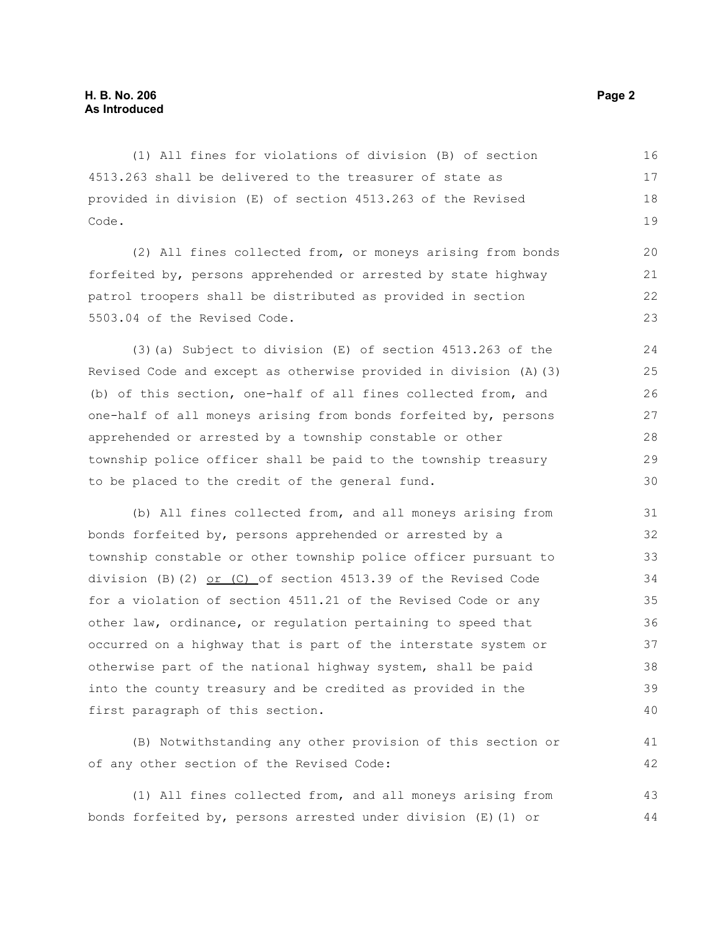(1) All fines for violations of division (B) of section 4513.263 shall be delivered to the treasurer of state as provided in division (E) of section 4513.263 of the Revised Code. 16 17 18 19

(2) All fines collected from, or moneys arising from bonds forfeited by, persons apprehended or arrested by state highway patrol troopers shall be distributed as provided in section 5503.04 of the Revised Code.

(3)(a) Subject to division (E) of section 4513.263 of the Revised Code and except as otherwise provided in division (A)(3) (b) of this section, one-half of all fines collected from, and one-half of all moneys arising from bonds forfeited by, persons apprehended or arrested by a township constable or other township police officer shall be paid to the township treasury to be placed to the credit of the general fund.

(b) All fines collected from, and all moneys arising from bonds forfeited by, persons apprehended or arrested by a township constable or other township police officer pursuant to division (B)(2) or (C) of section 4513.39 of the Revised Code for a violation of section 4511.21 of the Revised Code or any other law, ordinance, or regulation pertaining to speed that occurred on a highway that is part of the interstate system or otherwise part of the national highway system, shall be paid into the county treasury and be credited as provided in the first paragraph of this section. 31 32 33 34 35 36 37 38 39 40

(B) Notwithstanding any other provision of this section or of any other section of the Revised Code:

(1) All fines collected from, and all moneys arising from bonds forfeited by, persons arrested under division (E)(1) or 43 44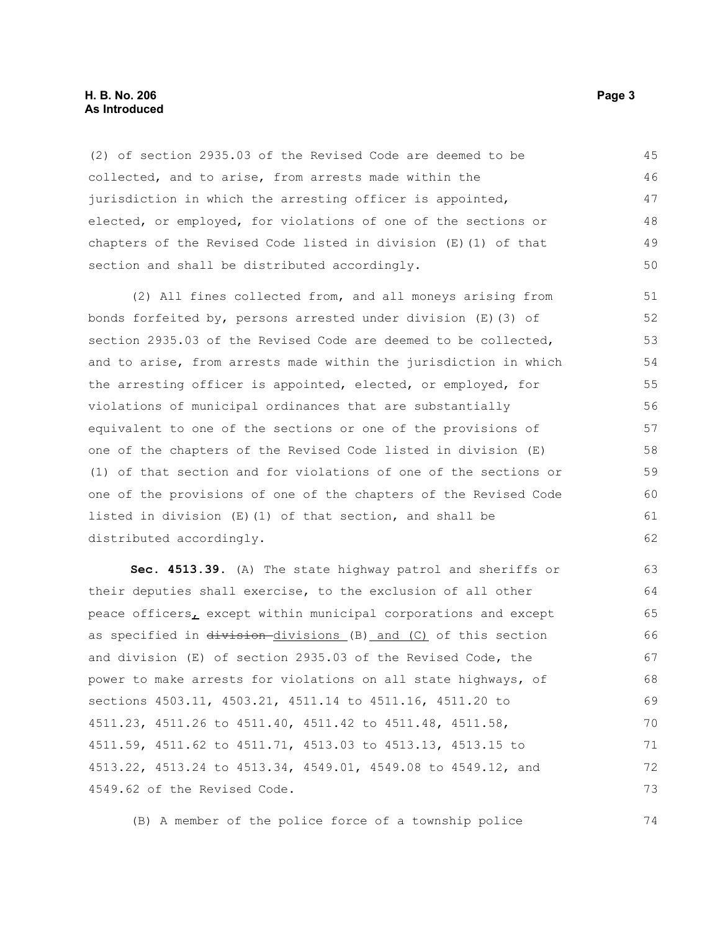#### **H. B. No. 206 Page 3 As Introduced**

(2) of section 2935.03 of the Revised Code are deemed to be collected, and to arise, from arrests made within the jurisdiction in which the arresting officer is appointed, elected, or employed, for violations of one of the sections or chapters of the Revised Code listed in division (E)(1) of that section and shall be distributed accordingly. 45 46 47 48 49 50

(2) All fines collected from, and all moneys arising from bonds forfeited by, persons arrested under division (E)(3) of section 2935.03 of the Revised Code are deemed to be collected, and to arise, from arrests made within the jurisdiction in which the arresting officer is appointed, elected, or employed, for violations of municipal ordinances that are substantially equivalent to one of the sections or one of the provisions of one of the chapters of the Revised Code listed in division (E) (1) of that section and for violations of one of the sections or one of the provisions of one of the chapters of the Revised Code listed in division (E)(1) of that section, and shall be distributed accordingly. 51 52 53 54 55 56 57 58 59 60 61 62

**Sec. 4513.39.** (A) The state highway patrol and sheriffs or their deputies shall exercise, to the exclusion of all other peace officers, except within municipal corporations and except as specified in division-divisions (B) and (C) of this section and division (E) of section 2935.03 of the Revised Code, the power to make arrests for violations on all state highways, of sections 4503.11, 4503.21, 4511.14 to 4511.16, 4511.20 to 4511.23, 4511.26 to 4511.40, 4511.42 to 4511.48, 4511.58, 4511.59, 4511.62 to 4511.71, 4513.03 to 4513.13, 4513.15 to 4513.22, 4513.24 to 4513.34, 4549.01, 4549.08 to 4549.12, and 4549.62 of the Revised Code. 63 64 65 66 67 68 69 70 71 72 73

(B) A member of the police force of a township police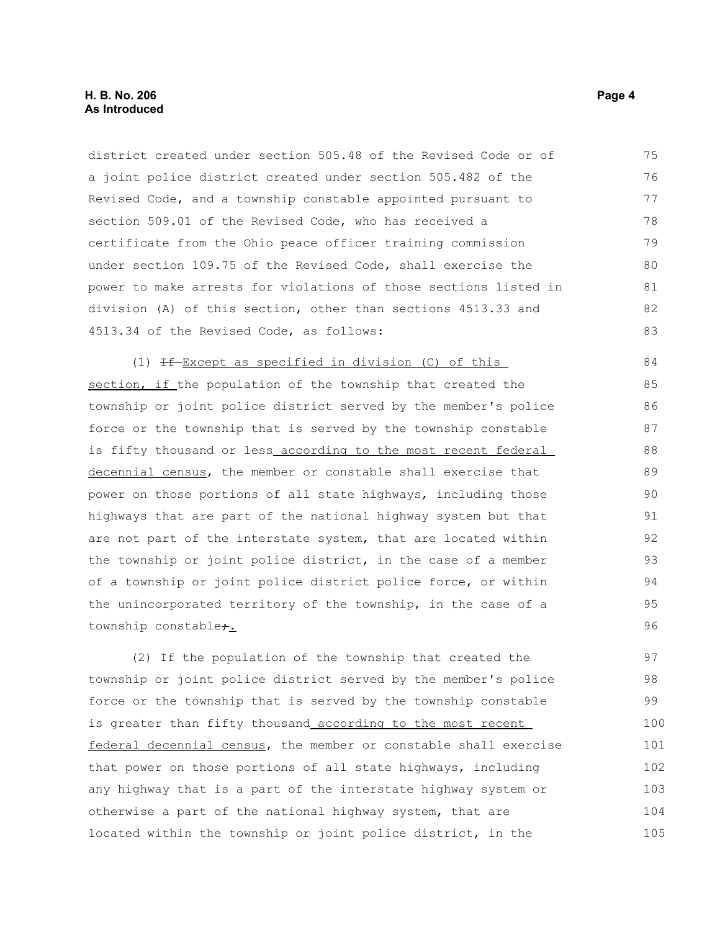#### **H. B. No. 206 Page 4 As Introduced**

district created under section 505.48 of the Revised Code or of a joint police district created under section 505.482 of the Revised Code, and a township constable appointed pursuant to section 509.01 of the Revised Code, who has received a certificate from the Ohio peace officer training commission under section 109.75 of the Revised Code, shall exercise the power to make arrests for violations of those sections listed in division (A) of this section, other than sections 4513.33 and 4513.34 of the Revised Code, as follows: 75 76 77 78 79 80 81 82 83

(1)  $H - Except$  as specified in division (C) of this section, if the population of the township that created the township or joint police district served by the member's police force or the township that is served by the township constable is fifty thousand or less\_according to the most recent federal decennial census, the member or constable shall exercise that power on those portions of all state highways, including those highways that are part of the national highway system but that are not part of the interstate system, that are located within the township or joint police district, in the case of a member of a township or joint police district police force, or within the unincorporated territory of the township, in the case of a township constable<sub>7.</sub>

(2) If the population of the township that created the township or joint police district served by the member's police force or the township that is served by the township constable is greater than fifty thousand according to the most recent federal decennial census, the member or constable shall exercise that power on those portions of all state highways, including any highway that is a part of the interstate highway system or otherwise a part of the national highway system, that are located within the township or joint police district, in the 97 98 99 100 101 102 103 104 105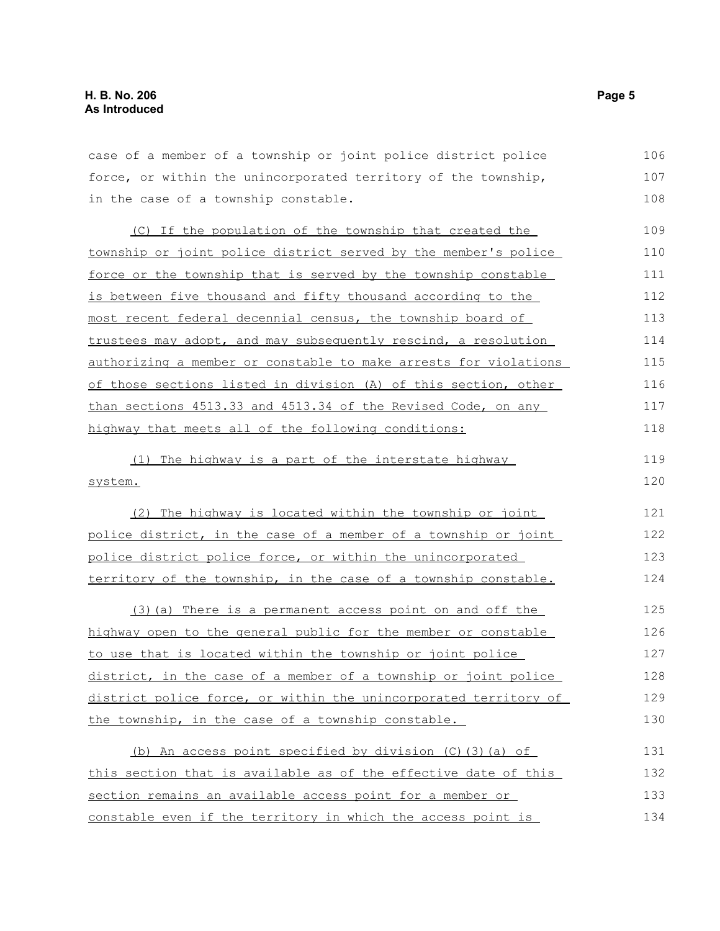case of a member of a township or joint police district police force, or within the unincorporated territory of the township, in the case of a township constable. 106 107 108

(C) If the population of the township that created the township or joint police district served by the member's police force or the township that is served by the township constable is between five thousand and fifty thousand according to the most recent federal decennial census, the township board of trustees may adopt, and may subsequently rescind, a resolution authorizing a member or constable to make arrests for violations of those sections listed in division (A) of this section, other than sections 4513.33 and 4513.34 of the Revised Code, on any highway that meets all of the following conditions: 109 110 111 112 113 114 115 116 117 118

(1) The highway is a part of the interstate highway system. 119 120

(2) The highway is located within the township or joint police district, in the case of a member of a township or joint police district police force, or within the unincorporated territory of the township, in the case of a township constable. 124

(3)(a) There is a permanent access point on and off the highway open to the general public for the member or constable to use that is located within the township or joint police district, in the case of a member of a township or joint police district police force, or within the unincorporated territory of the township, in the case of a township constable. 125 126 127 128 129 130

| (b) An access point specified by division $(C)$ (3) (a) of      | 131 |
|-----------------------------------------------------------------|-----|
| this section that is available as of the effective date of this | 132 |
| section remains an available access point for a member or       | 133 |
| constable even if the territory in which the access point is    | 134 |